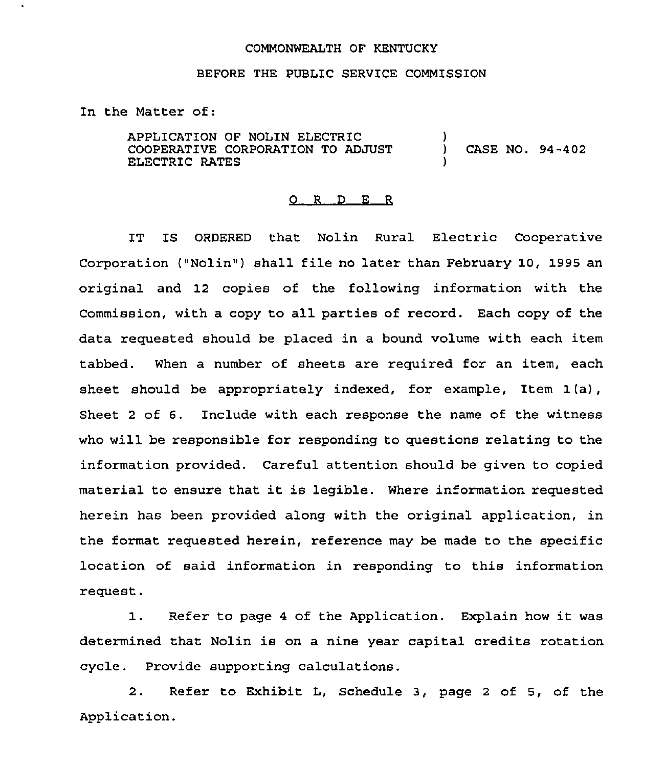## COMMONWEALTH OF KENTUCKY

## BEFORE THE PUBLIC SERVICE COMMISSION

In the Matter of:

APPLICATION OF NOLIN ELECTRIC COOPERATIVE CORPORATION TO ADJUST ELECTRIC RATES ) ) CASE NO. 94-402 )

## $Q$  R  $D$  E R

IT IS ORDERED that Nolin Rural Electric Cooperative Corporation ("Nolin") shall file no later than February 10, 1995 an original and 12 copies of the following information with the Commission, with a copy to all parties of record. Each copy of the data requested should be placed in a bound volume with each item tabbed. When a number of sheets are required for an item, each sheet should be appropriately indexed, for example, Item 1 (a), Sheet <sup>2</sup> of 6. Include with each response the name of the witness who will be responsible for responding to questions relating to the information provided. Careful attention should be given to copied material to ensure that it is legible. Where information requested herein has been provided along with the original application, in the format requested herein, reference may be made to the specific location of said information in responding to this information request.

1. Refer to page <sup>4</sup> of the Application. Explain how it was determined that Nolin is on a nine year capital credits rotation cycle. Provide supporting calculations.

2. Refer to Exhibit L, Schedule 3, page <sup>2</sup> of 5, of the Application.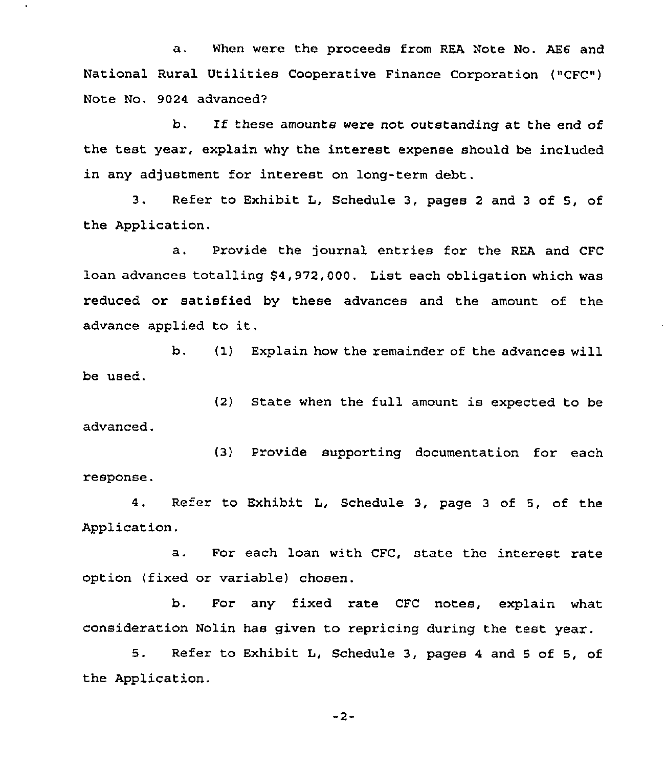a. When were the proceeds from REA Note No. AE6 and National Rural Utilities Cooperative Finance Corporation ("CFC") Note No. 9024 advanced?

b. If these amounts were not outstanding at the end of the test year, explain why the interest expense should be included in any adjustment for interest on long-term debt.

3. Refer to Exhibit L, Schedule 3, pages <sup>2</sup> and <sup>3</sup> of 5, of the Application.

a, Provide the journal entries for the REA and CFC loan advances totalling \$4,972,000. List each obligation which was reduced or satisfied by these advances and the amount of the advance applied to it.

b. (I) Explain how the remainder of the advances will be used.

(2) State when the full amount is expected to be advanced.

(3) Provide supporting documentation for each response.

4. Refer to Exhibit L, Schedule 3, page <sup>3</sup> of 5, of the Application.

a. For each loan with CFC, state the interest rate option (fixed or variable) chosen.

b. For any fixed rate CFC notes, explain what consideration Nolin has given to repricing during the test year.

5. Refer to Exhibit L, Schedule 3, pages <sup>4</sup> and <sup>5</sup> of 5, of the Application.

-2-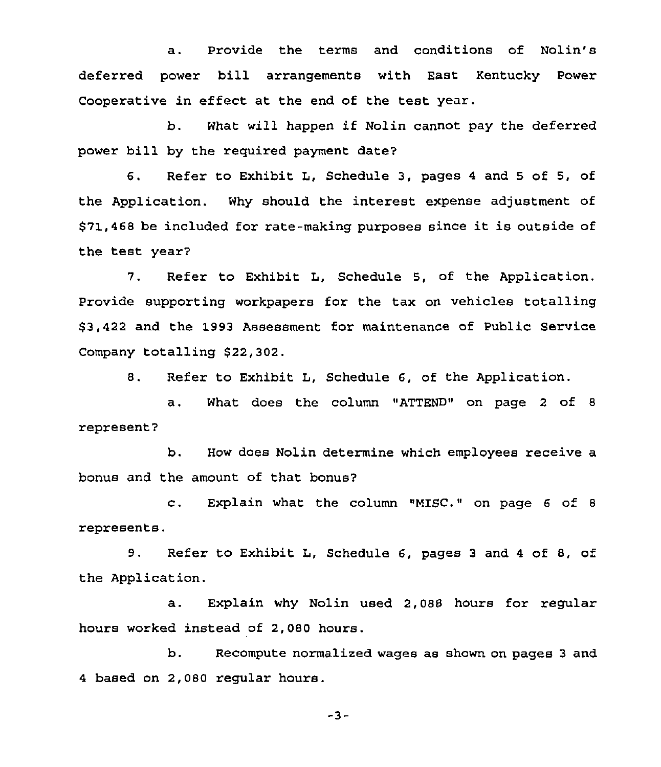a. Provide the terms and conditions of Nolin's deferred power bill arrangements with East Kentucky Power Cooperative in effect at the end of the test year.

b. What will happen if Nolin cannot pay the deferred power bill by the required payment date?

6. Refer to Exhibit L, Schedule 3, pages <sup>4</sup> and <sup>5</sup> of 5, of the Application. Why should the interest expense adjustment of \$71,<sup>468</sup> be included for rate-making purposes since it is outside of the test year?

7. Refer to Exhibit L, Schedule 5, of the Application. Provide supporting workpapers for the tax on vehicles totalling \$ 3,422 and the 1993 Assessment for maintenance of Public Service Company totalling \$22,302.

8. Refer to Exhibit L, Schedule 6, of the Application.

a. What does the column "ATTEND" on page <sup>2</sup> of <sup>8</sup> represent?

b. How does Nolin determine which employees receive a bonus and the amount of that bonus?

c. Explain what the column "MISC." on page <sup>6</sup> of <sup>8</sup> represents.

9. Refer to Exhibit L, Schedule 6, pages <sup>3</sup> and <sup>4</sup> of 8, of the Application.

a. Explain why Nolin used 2,088 hours for regular hours worked instead of 2,080 hours

b. Recompute normalized wages as shown on pages <sup>3</sup> and 4 based on 2,080 regular hours.

-3-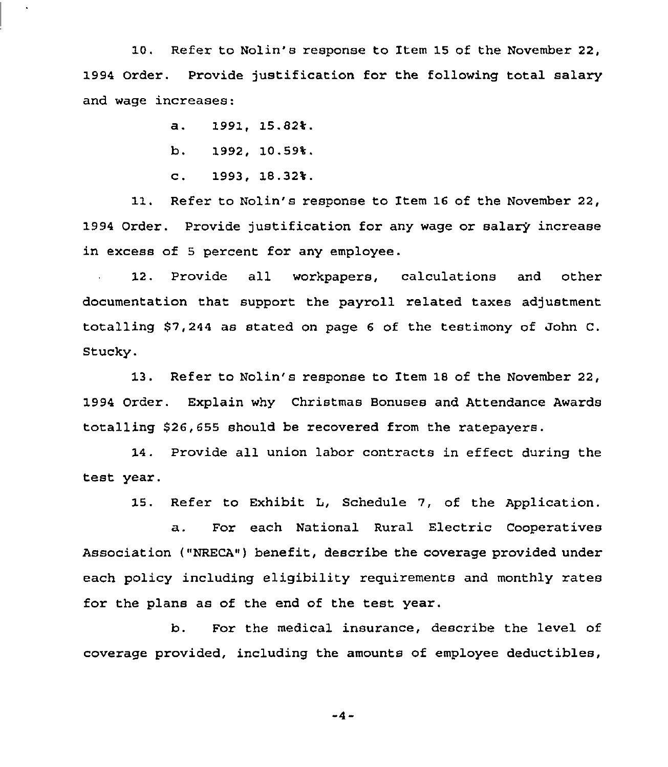10. Refer to Nolin's response to Item 15 of the November 22, 1994 Order. Provide justification for the following total salary and wage increases:

a. 1991, 15.82%.

b. 1992, 10.59%.

c. 1993, 18.32%.

11. Refer to Nolin's response to Item 16 of the November 22, 1994 Order. Provide justification for any wage or salary increase in excess of 5 percent for any employee.

12. Provide all workpapers, calculations and other documentation that support the payroll related taxes adjustment totalling 87,244 as stated on page <sup>6</sup> of the testimony of John C. Stucky.

13. Refer to Nolin's response to Item 18 of the November 22, 1994 Order. Explain why Christmas Bonuses and Attendance Awards totalling 526,655 should be recovered from the ratepayers.

14. Provide all union labor contracts in effect during the test year.

15. Refer to Exhibit L, Schedule 7, of the Application.

a. For each National Rural Electric Cooperatives Association ("NRECA"j benefit, describe the coverage provided under each policy including eligibility requirements and monthly rates for the plans as of the end of the test year.

b. For the medical insurance, describe the level of coverage provided, including the amounts of employee deductibles,

 $-4 -$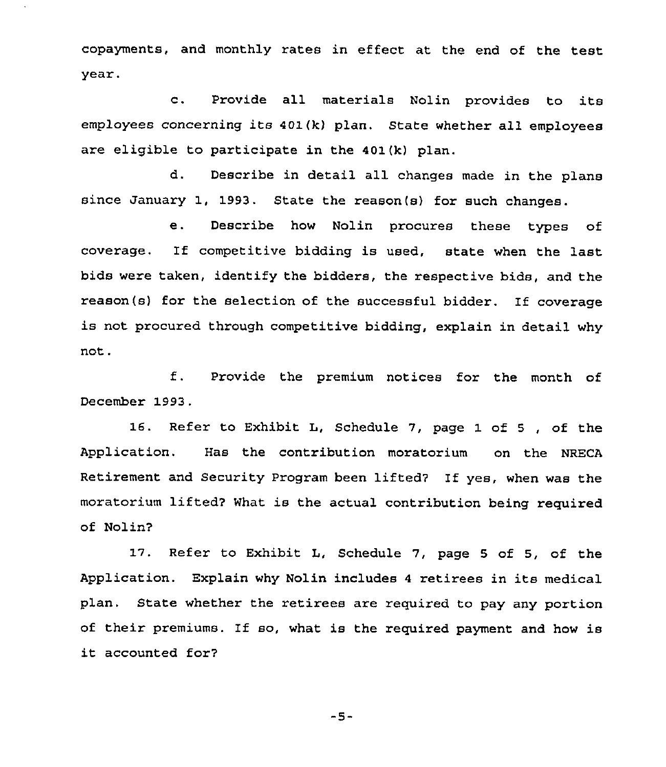copayments, and monthly rates in effect at the end of the test year.

c. Provide all materials Nolin provides to its employees concerning its 401(k) plan. State whether all employees are eligible to participate in the 401(k) plan.

d. Describe in detail all changes made in the plans since January 1, 1993. State the reason(s} for such changes.

e. Describe how Nolin procures these types of coverage. If competitive bidding is used, state when the last bids were taken, identify the bidders, the respective bids, and the reason(s) for the selection of the successful bidder. lf coverage is not procured through competitive bidding, explain in detail why not.

f. Provide the premium notices for the month of December 1993.

16. Refer to Exhibit L, Schedule 7, page 1 of <sup>5</sup> , of the Application. Has the contribution moratorium on the NRECA Retirement and Security Program been lifted? If yes, when was the moratorium lifted? What is the actual contribution being required of Nolin?

17. Refer to Exhibit L, Schedule 7, page <sup>5</sup> of 5, of the Application. Explain why Nolin includes <sup>4</sup> retirees in its medical plan. State whether the retirees are required to pay any portion of their premiums. If so, what is the required payment and how is it accounted for?

 $-5-$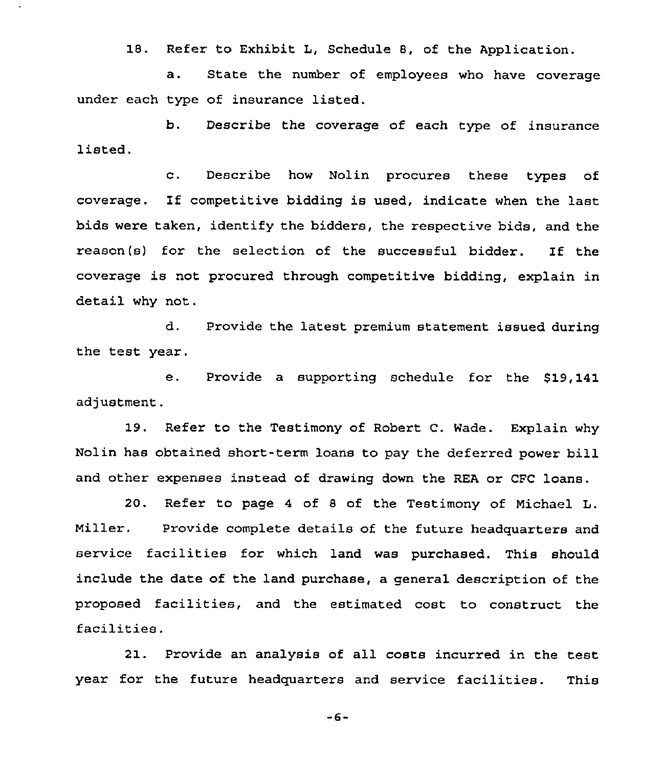18. Refer to Exhibit L, Schedule 8, of the Application.

a. State the number of employees who have coverage under each type of insurance listed.

b. Describe the coverage of each type of insurance listed.

c. Describe how Nolin procures these types of coverage. If competitive bidding is used, indicate when the last bids were taken, identify the bidders, the respective bids, and the reason(s) for the selection of the successful bidder. If the coverage is not procured through competitive bidding, explain in detail why not.

d. Provide the latest premium statement issued during the test year.

Provide a supporting schedule for the \$19,141 e. adjustment.

19. Refer to the Testimony of Robert C. Wade. Explain why Nolin has obtained short-term loans to pay the deferred power bill and other expenses instead of drawing down the REA or CFC loans.

20. Refer to page 4 of <sup>8</sup> of the Testimony of Michael L. Miller. Provide complete details of the future headquarters and service facilities for which land was purchased. This should include the date of the land purchase, a general description of the proposed facilities, and the estimated cost to construct the facilities.

21. Provide an analysis of all costs incurred in the test year for the future headquarters and service facilities. This

-6-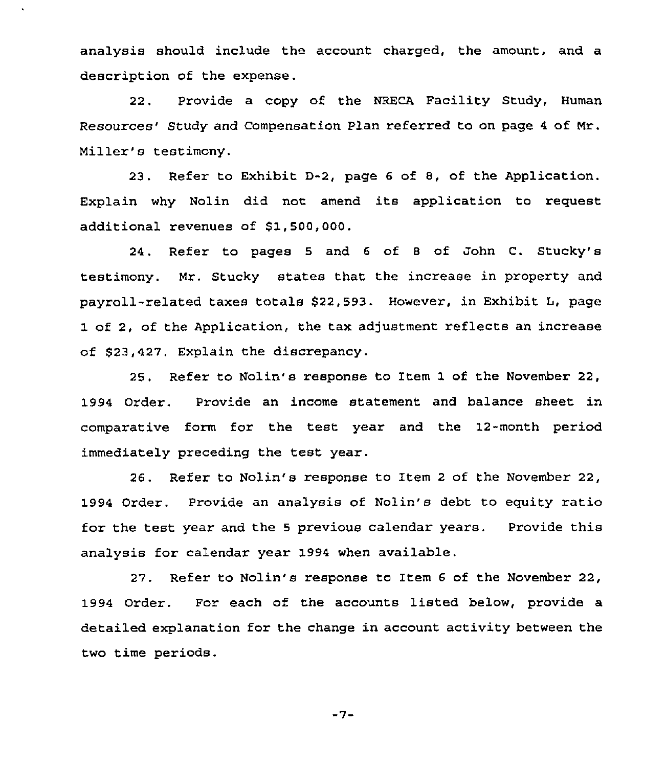analysis should include the account charged, the amount, and a description of the expense.

22. Provide a copy of the NRECA Facility Study, Human Resources' Study and Compensation Plan referred to on page 4 of Mr. Miller's testimony.

23. Refer to Exhibit D-2, page 6 of 8, of the Application. Explain why Nolin did not amend its application to request additional revenues of S1,500,000.

24. Refer to pages 5 and <sup>6</sup> of <sup>8</sup> of John C. Stucky's testimony. Mr. Stucky states that the increase in property and payroll-related taxes totals 922,593. However, in Exhibit I, page 1 of 2, of the Application, the tax adjustment reflects an increase of 623,427. Explain the discrepancy.

25, Refer to Nolin's response to Item 1 of the November 22, 1994 Order. Provide an income statement and balance sheet in comparative form for the test year and the 12-month period immediately preceding the test year.

26. Refer to Nolin's response to Item <sup>2</sup> of the November 22, 1994 Order. Provide an analysis of Nolin's debt to equity ratio for the test year and the <sup>5</sup> previous calendar years. Provide this analysis for calendar year 1994 when available.

27. Refer to Nolin's response to Item <sup>6</sup> of the November 22, 1994 Order. For each of the accounts listed below, provide a detailed explanation for the change in account activity between the two time periods.

$$
-7-
$$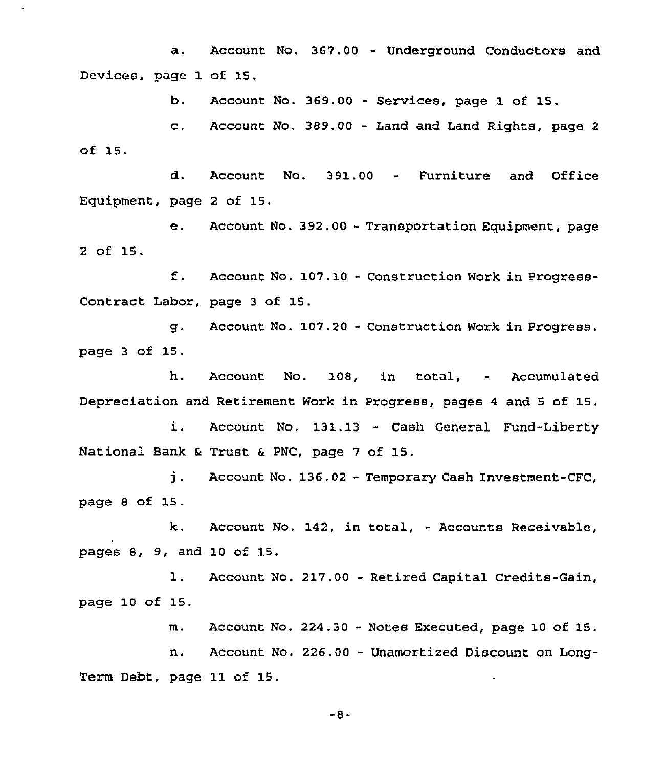a. Account No. 367.00 - Underground Conductors and Devices, page 1 of 15.

b. Account No. 369.00 - Services, page 1 of 15.

c. Account No. 389.00 - Land and Land Rights, page <sup>2</sup> of 15.

d. Account No. 391.00 - Furniture and Office Equipment, page <sup>2</sup> of 15.

e. Account No. 392.00 - Transportation Equipment, page 2 of 15.

f. Account No. 107.10 — Construction Work in Progress-Contract Labor, page <sup>3</sup> of 15.

g. Account No. 107.20 - Construction Work in Progress, page <sup>3</sup> of 15.

h. Acccunt No. 108, in total, — Accumulated Depreciation and Retirement Work in Progress, pages <sup>4</sup> and <sup>5</sup> of 15.

Account No. 131.13 - Cash General Fund-Liberty i. National Bank & Trust & PNC, page 7 of 15.

j . Account No. 136.02 - Temporary Cash Investment-CFC, page <sup>8</sup> of 15.

Account No, 142, in total, - Accounts Receivable, k. pages 8, 9, and 10 of 15.

 $\mathbf{1}$ . Account No. 217.00 - Retired Capital Credits-Gain, page 10 of 15.

m. Account No. 224.30 - Notes Executed, page 10 of 15.

Account No. 226.00 — Unamortized Discount on Longn. Term Debt, page 11 of 15.

-8-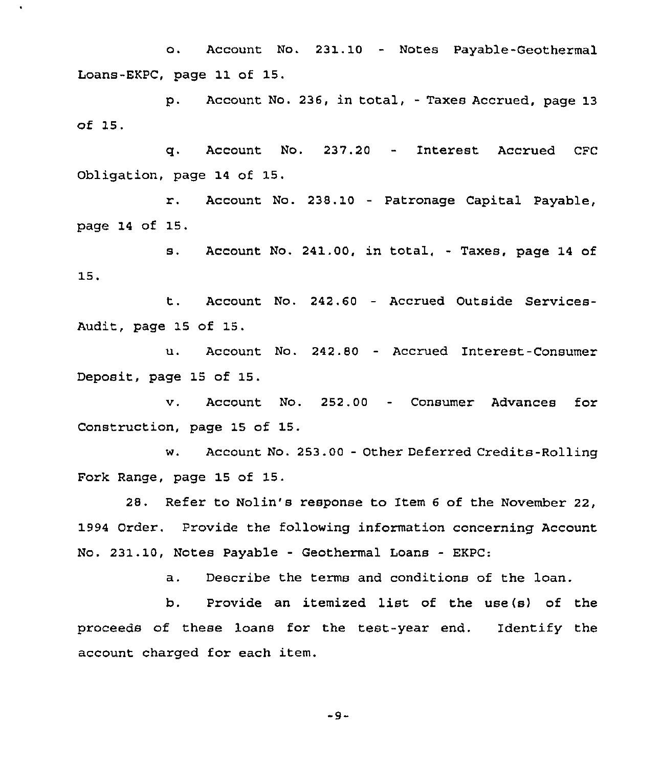o. Account No. 231.10 - Notes Payable-Geothermal Loans-EKPC, page 11 of 15.

p. Account No. 236, in total, - Taxes Accrued, page 13 of 15.

q. Account No. 237.20 - Interest Accrued CFC Obligation, page 14 of 15.

r. Account No. 238.<sup>10</sup> — Patronage Capital Payable, page 14 of 15.

s. Account No. 241.00, in total, - Taxes, page <sup>14</sup> of 15.

t. Account No. 242.60 — Accrued Outside Services-Audit, page 15 of 15.

u. Account No. 242.80 - Accrued Interest-Consumer Deposit, page 15 of 15.

v. Account No. 252.00 - Consumer Advances for Construction, page 15 of 15.

w. Account No. 253.00 - Other Deferred Credits-Rolling Fork Range, page 15 of 15.

28. Refer to Nolin's response to Item <sup>6</sup> of the November 22, 1994 order. Provide the following information concerning Account No. 231.10, Notes Payable — Geothermal Loans — EKPC:

a. Describe the terms and conditions of the loan.

b. Provide an itemized list of the use(s) of the proceeds of these loans for the test-year end. Identify the account charged for each item.

-9-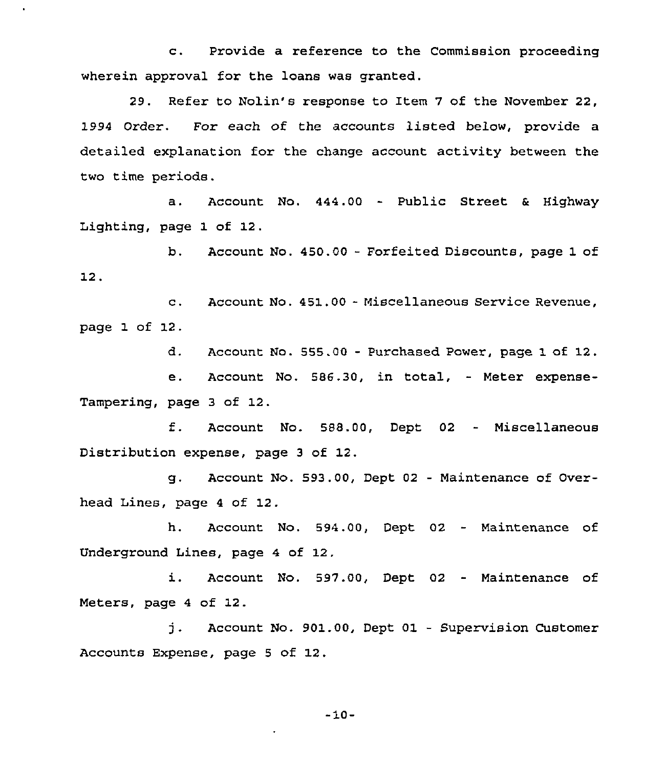c. Provide a reference to the Commission proceeding wherein approval for the loans was granted.

29. Refer to Nolin's response to Item 7 of the November 22, 1994 Order. For each of the accounts listed below, provide a detailed explanation for the change account activity between the two time periods.

a. Account No. 444.00 - Public Street & Highway Lighting, page 1 of 12.

b. Account No. 450.00 - Forfeited Discounts, page 1 of 12.

c. Account No. 451.0Q - Miscellaneous Service Revenue, page 1 of 12.

d. Account No. 555.QQ - Purchased Power, page 1 of 12.

e. Account No. 586.30, in total, — Meter expense-Tampering, page 3 of 12.

f. Account No. 588.00, Dept <sup>02</sup> — Miscellaneous Distribution expense, page <sup>3</sup> of 12.

g. Account No. 593.QQ, Dept 02 - Maintenance of Overhead Lines, page <sup>4</sup> of 12.

h. Account No. 594.00, Dept 02 — Maintenance of Underground Lines, page 4 of 12.

i. Account No. 597.00, Dept <sup>02</sup> — Maintenance of Meters, page <sup>4</sup> of 12.

j. Account No. 901.00, Dept <sup>01</sup> — Supervision Customer Accounts Expense, page <sup>5</sup> of 12.

 $-10-$ 

 $\cdot$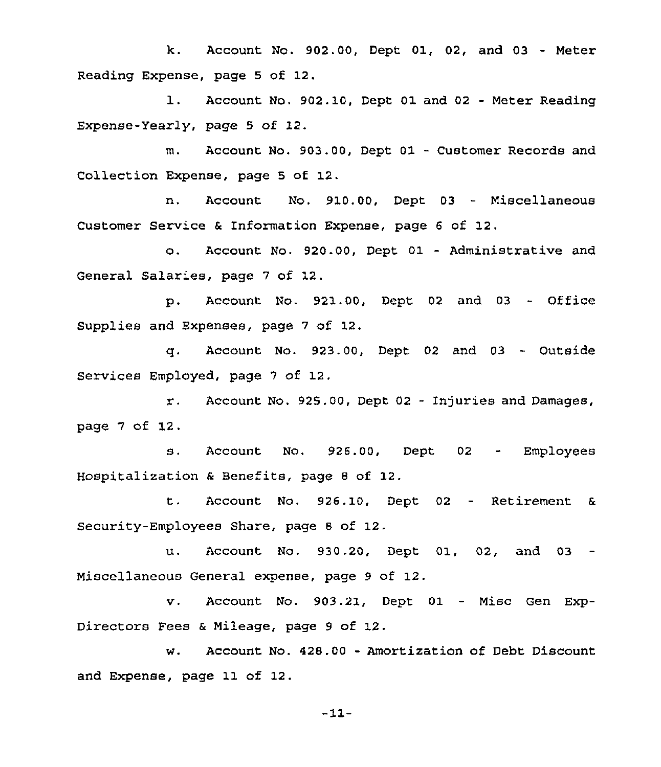k. Account No. 902.0Q, Dept Ql, 02, and 03 - Meter Reading Expense, page <sup>5</sup> of 12.

l. Account No. 902.10, Dept <sup>01</sup> and <sup>02</sup> - Meter Reading Expense-yearly, page 5 of 12.

m. Account No. 903.00, Dept 01 - Customer Records and Collection Expense, page 5 of 12.

n. Account No. 910.00, Dept 03 - Miscellaneous Customer Service & Information Expense, page <sup>6</sup> of 12.

o. Account No. 920.0Q, Dept 01 - Administrative and General Salaries, page 7 of 12.

p. Account No. 921.00, Dept <sup>02</sup> and <sup>03</sup> - Office supplies and Expenses, page 7 of 12.

q. Account No. 923.00, Dept <sup>02</sup> and 03 - Outside Services Employed, page 7 of 12.

r. Account No. 925.00, Dept <sup>02</sup> - Injuries and Damages, page 7 of 12.

s. Account No. 926.00, Dept <sup>02</sup> - Employees Hospitalization & Benefits, page <sup>8</sup> of 12.

t. Account No. 926.1Q, Dept <sup>02</sup> - Retirement & Security-Employees Share, page 8 of 12.

u. Account No. 930,20, Dept 01, 02, and 03 Miscellaneous General expense, page 9 of 12.

v. Account No. 903.21, Dept 01 — Misc Gen Exp-Directors Fees & Mileage, page 9 of 12.

w. Account No. 428.00 - Amortization of Debt Discount and Expense, page 11 of 12.

-11-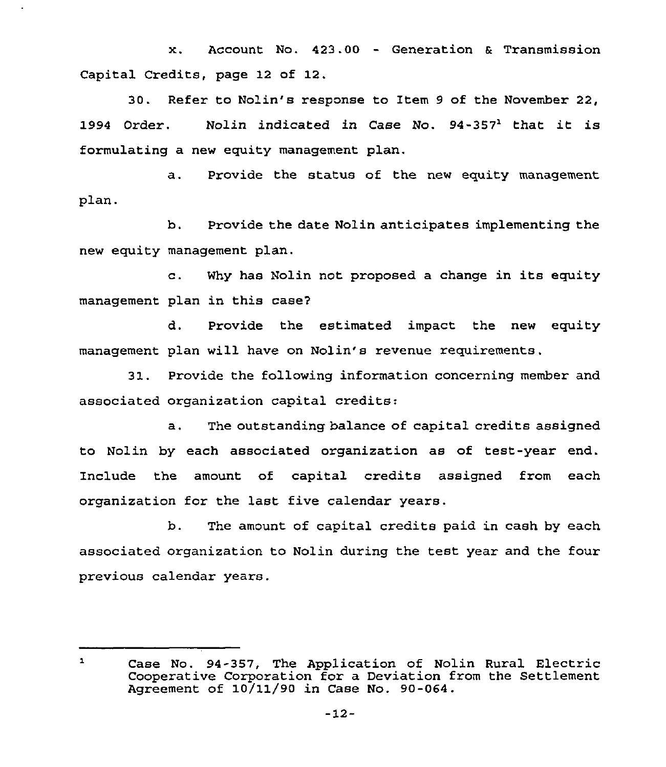x. Account No. 423.00 - Generation & Transmission Capital Credits, page 12 of 12.

30. Refer to Nolin's response to Item 9 of the November 22, 1994 Order. Nolin indicated in Case No. 94-357<sup>1</sup> that it is formulating a new equity management plan.

a. Provide the status of the new equity management plan.

b. Provide the date Nolin anticipates implementing the new equity management plan.

c. Why has Nolin not proposed <sup>a</sup> change in its equity management plan in this case7

d. Provide the estimated impact the new equity management plan will have on Nolin's revenue requirements.

31. Provide the following information concerning member and associated organization capital credits:

a. The outstanding balance of capital credits assigned to Nolin by each associated organization as of test-year end. Include the amount of capital credits assigned from each organization for the last five calendar years.

b. The amount of capital credits paid in cash by each associated organization to Nolin during the test year and the four previous calendar years.

 $\mathbf{1}$ Case No. 94-357, The Application of Nolin Rural Electric Cooperative Corporation for a Deviation from the Settlement Agreement of 10/11/90 in Case No. 90-064.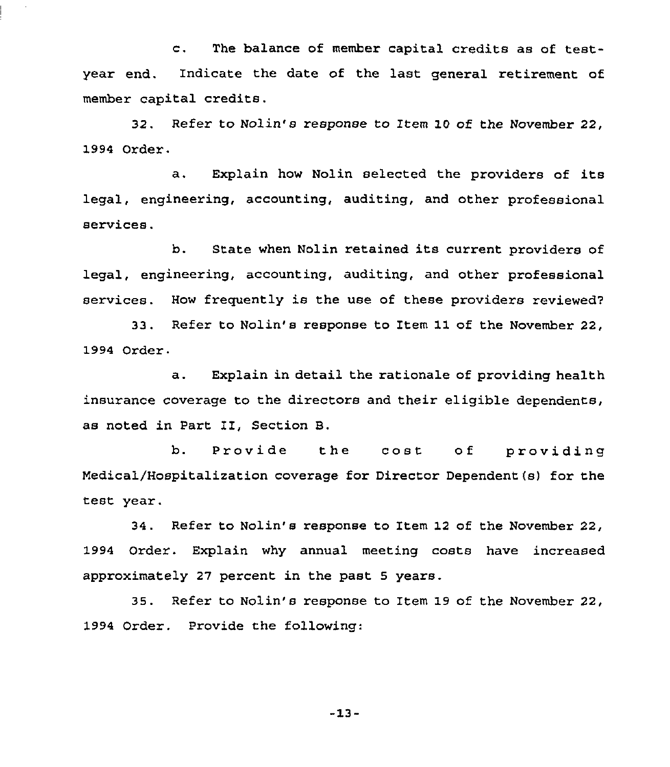c. The balance of member capital credits as of testyear end. Indicate the date of the last general retirement of member capital credits.

32. Refer to Nolin's response to Item 10 of the November 22, 1994 Order.

a. Explain how Nolin selected the providers of its legal, engineering, accounting, auditing, and other professional services.

b. State when Nolin retained its current providers of legal, engineering, accounting, auditing, and other professional services. How frequently is the use of these providers reviewed?

33, Refer to Nolin's response to Item 11 of the November 22, 1994 Order.

a. Explain in detail the rationale of providing health insurance coverage to the directors and their eligible dependents, as noted in Part II, Section B,

b. Provide the cost of providir Medical/Hospitalization coverage for Director Dependent{s) for the test year.

34. Refer to Nolin's response to Item 12 of the November 22, 1994 Order. Explain why annual meeting costs have increased approximately 27 percent in the past 5 years.

35. Refer to Nolin's response to Item 19 of the November 22, 1994 Order. Provide the following:

-13-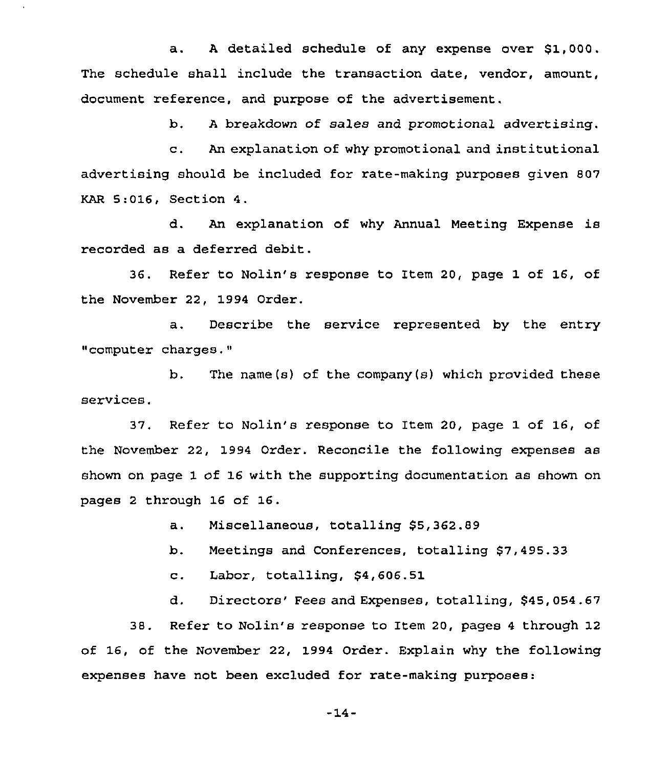a. <sup>A</sup> detailed schedule of any expense over \$1,000. The schedule shall include the transaction date, vendor, amount, document reference, and purpose of the advertisement.

b. <sup>A</sup> breakdown of sales and promotional advertising.

c. An explanation of why promotional and institutional advertising should be included for rate-making purposes given 807 KAR 5:016, Section 4.

d. An explanation of why Annual Meeting Expense is recorded as a deferred debit.

36. Refer to Nolin's response to Item 20, page 1 of 16, of the November 22, 1994 Order.

a, Describe the service represented by the entry "computer charges."

b. The name(s) of the company(s) which provided these services.

37, Refer to Nolin's response to Item 20, page 1 of 16, of the November 22, 1994 Order. Reconcile the following expenses as shown on page 1 of 16 with the supporting documentation as shown on pages <sup>2</sup> through 16 of 16.

a. Miscellaneous, totalling \$5,362.89

b. Meetings and Conferences, totalling \$7,495.33

c. Labor, totalling, \$4,606.51

d. Directors' Fees and Expenses, totalling, \$45,054.67

38. Refer to Nolin's response to Item 20, pages <sup>4</sup> through 12 of 16, of the November 22, 1994 Order. Explain why the following expenses have not been excluded for rate-making purposes:

 $-14-$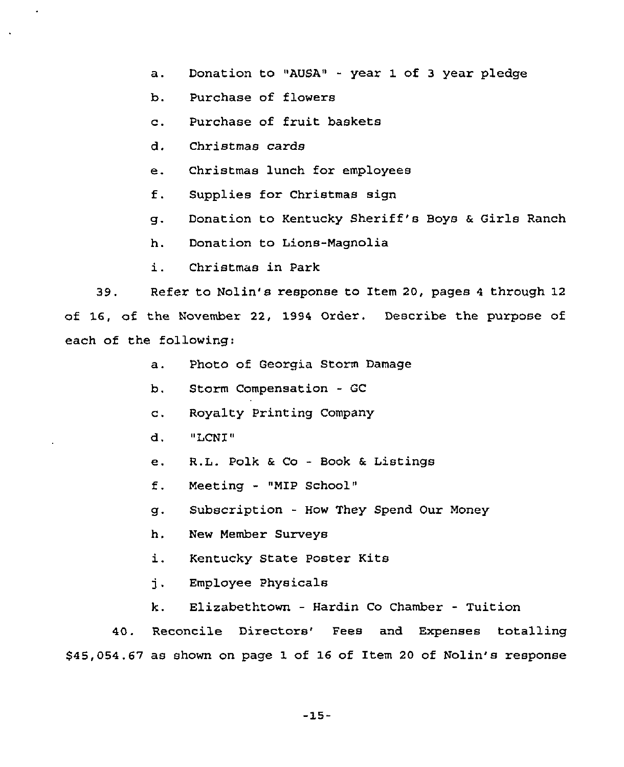- a. Donation to "AUSA" year 1 of <sup>3</sup> year pledge
- b. Purchase of flowers
- c. Purchase of fruit baskets
- d. Christmas cards
- e. Christmas lunch for employees
- f. Supplies for Christmas sign
- g. Donation to Kentucky Sheriff's Boys <sup>a</sup> Girls Ranch
- h. Donation to Lions-Magnolia
- i. Christmas in Park

39. Refer to Nolin's response to Item 20, pages <sup>4</sup> through 12 of 16, of the November 22, 1994 Order. Describe the purpose of each of the following:

- a. Photo of Georgia Storm Damage
- b. Storm Compensation GC
- c. Royalty Printing Company
- d. "LCNI"
- e. R.L. Polk 6 Co - Book <sup>6</sup> Listings
- f. Meeting "MIP School"
- g. Subscription How They Spend Our Money
- h. New Member Surveys
- i. Kentucky State Poster Kits
- j. Employee Physicals
- k. Elizabethtown Hardin Co Chamber Tuition

40. Reconcile Directors'ees and Expenses totalling \$45,054.67 as shown on page 1 of 16 of Item 20 of Nolin's response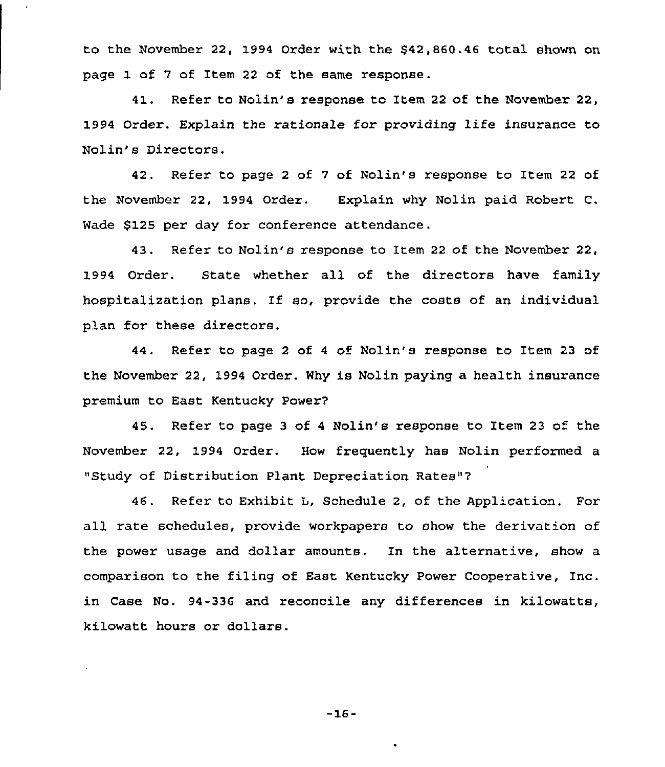to the November 22, 1994 Order with the 542,860.46 total shown on page 1 of 7 of Item 22 of the same response.

41. Refer to Nolin's response to Item 22 of the November 22, 1994 Order. Explain the rationale for providing life insurance to Nolin's Directors.

42. Refer to page 2 of 7 of Nolin's response to Item 22 of the November 22, 1994 Order. Explain why Nolin paid Robert C. Wade \$125 per day for conference attendance.

43. Refer to Nolin's response to Item 22 of the November 22, 1994 Order. State whether all of the directors have family hospitalization plans. If so, provide the costs of an individual plan for these directors.

44. Refer to page 2 of 4 of Nolin's response to Item 23 of the November 22, 1994 Order. Why is Nolin paying a health insurance premium to East Kentucky Power7

45. Refer to page 3 of <sup>4</sup> Nolin's response to Item 23 of the November 22, 1994 Order. How frequently has Nolin performed a "Study of Distribution Plant Depreciation Rates"?

46. Refer to Exhibit L, Schedule 2, of the Application. For all rate schedules, provide workpapers to show the derivation of the power usage and dollar amounts. In the alternative, show a comparison to the filing of East Kentucky Power Cooperative, Inc. in Case No. 94-336 and reconcile any differences in kilowatts, kilowatt hours or dollars.

—16-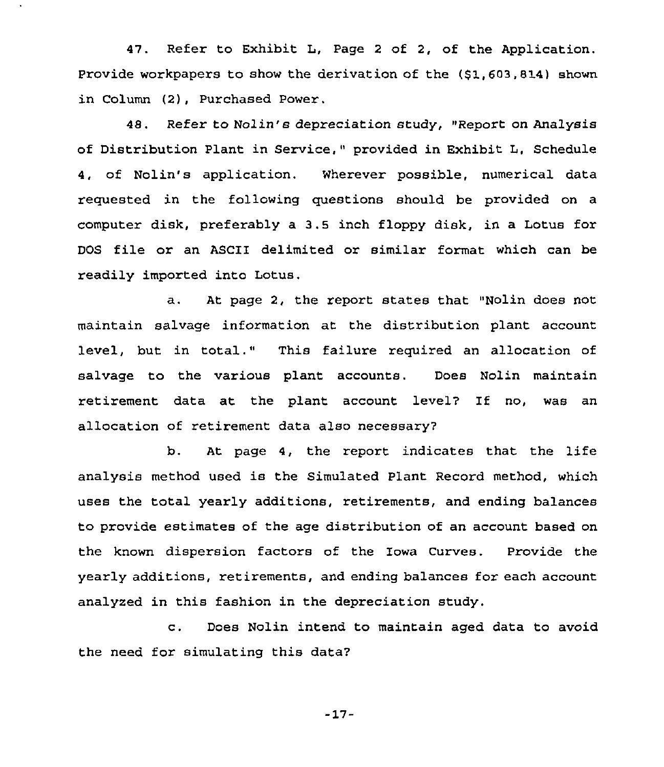47. Refer to Exhibit L, Page <sup>2</sup> of 2, of the Application. Provide workpapers to show the derivation of the (\$1,603,814) shown in Column (2), Purchased Power.

48. Refer to Nolin's depreciation study, "Report on Analysis of Distribution Plant in Service," provided in Exhibit L, Schedule 4, of Nolin's application. Wherever possible, numerical data requested in the following questions should be provided on a computer disk, preferably a 3.5 inch floppy disk, in a Lotus for DOS file or an ASCII delimited or similar format which can be readily imported into Lotus.

a. At page 2, the report states that "Nolin does not maintain salvage information at the distribution plant account level, but in total." This failure required an allocation of salvage to the various plant accounts. Does Nolin maintain retirement data at the plant account level7 If no, was an allocation of retirement data also necessary7

b. At page 4, the report indicates that the life analysis method used is the Simulated Plant Record method, which uses the total yearly additions, retirements, and ending balances to provide estimates of the age distribution of an account based on the known dispersion factors of the Iowa Curves. Provide the yearly additions, retirements, and ending balances for each account analyzed in this fashion in the depreciation study.

c. Does Nolin intend to maintain aged data to avoid the need for simulating this data?

-17-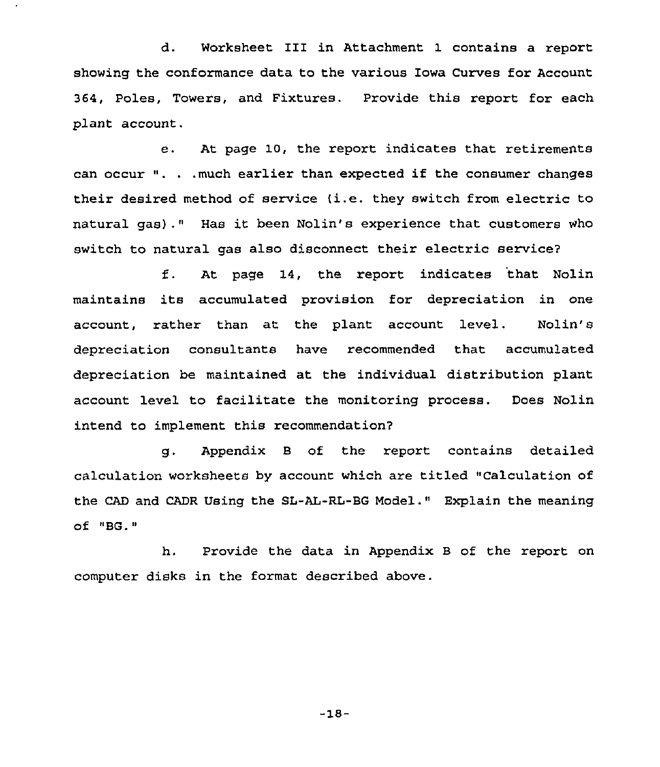d. Worksheet III in Attachment 1 contains a report showing the conformance data to the various Iowa Curves for Account 364, Poles, Towers, and Fixtures. Provide this report for each plant account.

e. At page 10, the report indicates that retirements can occur ". . .much earlier than expected if the consumer changes their desired method of service (i.e. they switch from electric to natural gas)." Has it been Nolin's experience that customers who switch to natural gas also disconnect their electric service2

f. At page 14, the report indicates that Nolin maintains its accumulated provision for depreciation in one account, rather than at the plant account level. Nolin's depreciation consultants have recommended that accumulated depreciation be maintained at the individual distribution plant account level to facilitate the monitoring process. Does Nolin intend to implement this recommendation?

g. Appendix <sup>B</sup> of the report contains detailed calculation worksheets by account which are titled "Calculation of the CAD and CADR Using the SL-AL-RL-BG Model." Explain the meaning  $of$   $"BG."$ 

h. Provide the data in Appendix B of the report on computer disks in the format described above.

-18—